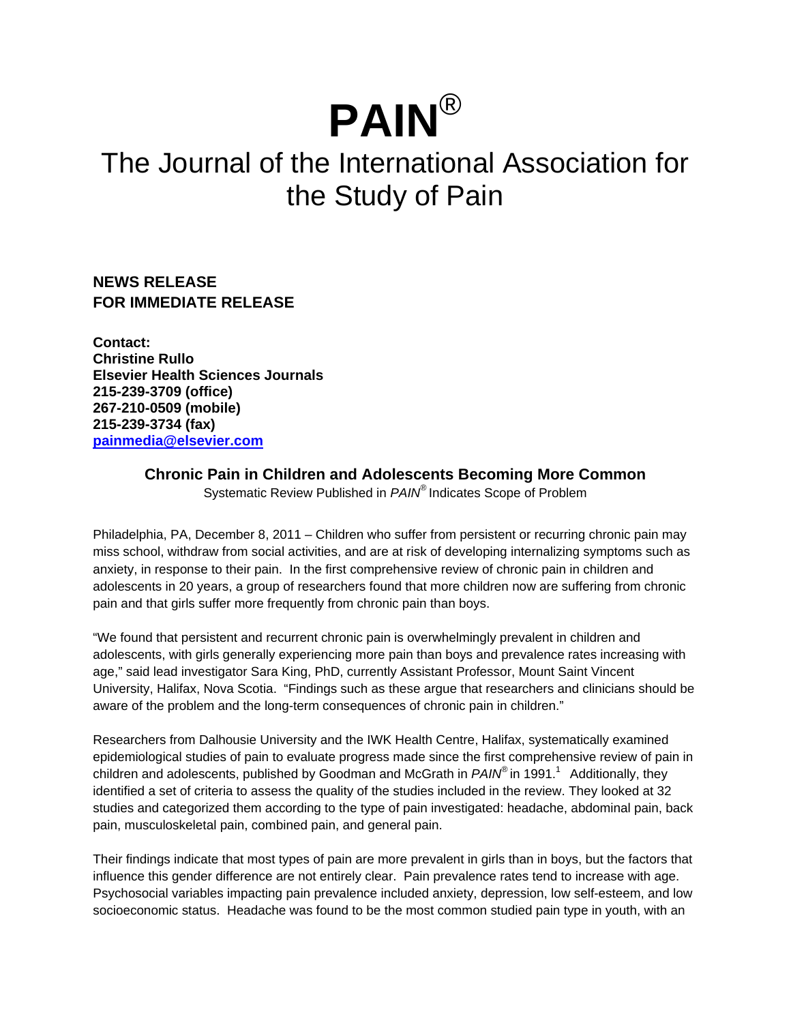# **PAIN**®

## The Journal of the International Association for the Study of Pain

**NEWS RELEASE FOR IMMEDIATE RELEASE**

**Contact: Christine Rullo Elsevier Health Sciences Journals 215-239-3709 (office) 267-210-0509 (mobile) 215-239-3734 (fax) painmedia@elsevier.com**

### **Chronic Pain in Children and Adolescents Becoming More Common**

Systematic Review Published in *PAIN®* Indicates Scope of Problem

Philadelphia, PA, December 8, 2011 – Children who suffer from persistent or recurring chronic pain may miss school, withdraw from social activities, and are at risk of developing internalizing symptoms such as anxiety, in response to their pain. In the first comprehensive review of chronic pain in children and adolescents in 20 years, a group of researchers found that more children now are suffering from chronic pain and that girls suffer more frequently from chronic pain than boys.

"We found that persistent and recurrent chronic pain is overwhelmingly prevalent in children and adolescents, with girls generally experiencing more pain than boys and prevalence rates increasing with age," said lead investigator Sara King, PhD, currently Assistant Professor, Mount Saint Vincent University, Halifax, Nova Scotia. "Findings such as these argue that researchers and clinicians should be aware of the problem and the long-term consequences of chronic pain in children."

Researchers from Dalhousie University and the IWK Health Centre, Halifax, systematically examined epidemiological studies of pain to evaluate progress made since the first comprehensive review of pain in children and adolescents, published by Goodman and McGrath in *PAIN*<sup>®</sup> in 1991.<sup>1</sup> Additionally, they identified a set of criteria to assess the quality of the studies included in the review. They looked at 32 studies and categorized them according to the type of pain investigated: headache, abdominal pain, back pain, musculoskeletal pain, combined pain, and general pain.

Their findings indicate that most types of pain are more prevalent in girls than in boys, but the factors that influence this gender difference are not entirely clear. Pain prevalence rates tend to increase with age. Psychosocial variables impacting pain prevalence included anxiety, depression, low self-esteem, and low socioeconomic status. Headache was found to be the most common studied pain type in youth, with an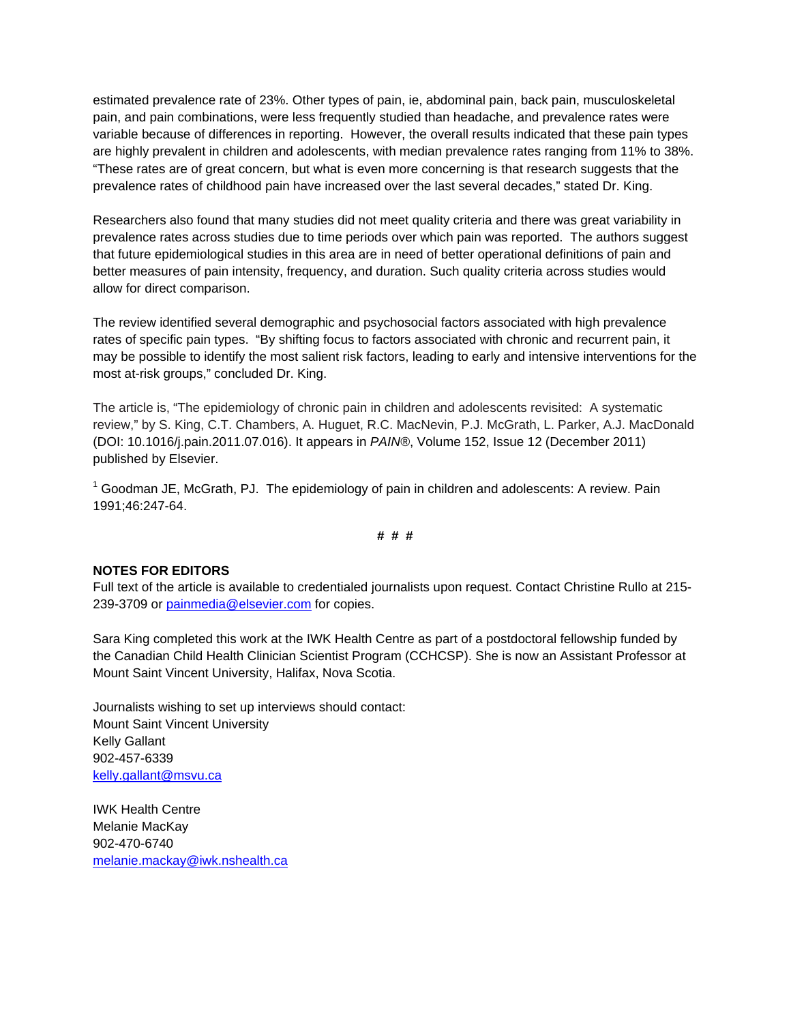estimated prevalence rate of 23%. Other types of pain, ie, abdominal pain, back pain, musculoskeletal pain, and pain combinations, were less frequently studied than headache, and prevalence rates were variable because of differences in reporting. However, the overall results indicated that these pain types are highly prevalent in children and adolescents, with median prevalence rates ranging from 11% to 38%. "These rates are of great concern, but what is even more concerning is that research suggests that the prevalence rates of childhood pain have increased over the last several decades," stated Dr. King.

Researchers also found that many studies did not meet quality criteria and there was great variability in prevalence rates across studies due to time periods over which pain was reported. The authors suggest that future epidemiological studies in this area are in need of better operational definitions of pain and better measures of pain intensity, frequency, and duration. Such quality criteria across studies would allow for direct comparison.

The review identified several demographic and psychosocial factors associated with high prevalence rates of specific pain types. "By shifting focus to factors associated with chronic and recurrent pain, it may be possible to identify the most salient risk factors, leading to early and intensive interventions for the most at-risk groups," concluded Dr. King.

The article is, "The epidemiology of chronic pain in children and adolescents revisited: A systematic review," by S. King, C.T. Chambers, A. Huguet, R.C. MacNevin, P.J. McGrath, L. Parker, A.J. MacDonald (DOI: 10.1016/j.pain.2011.07.016). It appears in *PAIN®*, Volume 152, Issue 12 (December 2011) published by Elsevier.

 $1$  Goodman JE, McGrath, PJ. The epidemiology of pain in children and adolescents: A review. Pain 1991;46:247-64.

#### **# # #**

#### **NOTES FOR EDITORS**

Full text of the article is available to credentialed journalists upon request. Contact Christine Rullo at 215- 239-3709 or painmedia@elsevier.com for copies.

Sara King completed this work at the IWK Health Centre as part of a postdoctoral fellowship funded by the Canadian Child Health Clinician Scientist Program (CCHCSP). She is now an Assistant Professor at Mount Saint Vincent University, Halifax, Nova Scotia.

Journalists wishing to set up interviews should contact: Mount Saint Vincent University Kelly Gallant 902-457-6339 kelly.gallant@msvu.ca

IWK Health Centre Melanie MacKay 902-470-6740 melanie.mackay@iwk.nshealth.ca